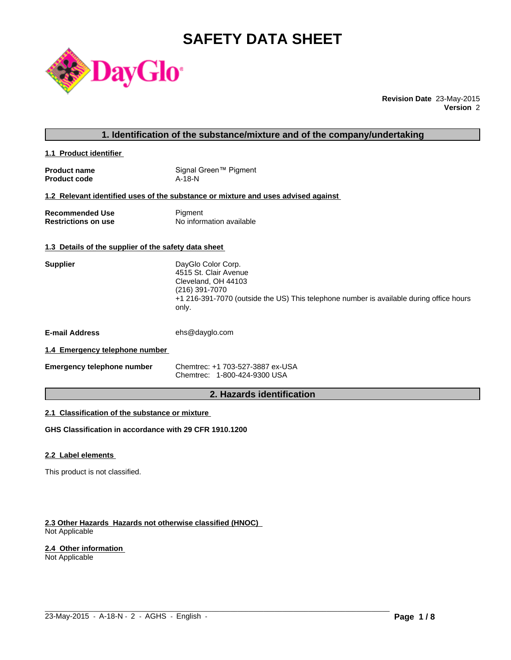# **SAFETY DATA SHEET**



**Revision Date** 23-May-2015 **Version** 2

# **1. Identification of the substance/mixture and of the company/undertaking**

**1.1 Product identifier** 

| <b>Product name</b> | Signal Green™ Pigment |
|---------------------|-----------------------|
| <b>Product code</b> | A-18-N                |

#### **1.2 Relevant identified uses of the substance or mixture and uses advised against**

| <b>Recommended Use</b>     | Pigment                  |
|----------------------------|--------------------------|
| <b>Restrictions on use</b> | No information available |

# **1.3 Details of the supplier of the safety data sheet**

| <b>Supplier</b>                | DayGlo Color Corp.<br>4515 St. Clair Avenue<br>Cleveland, OH 44103<br>(216) 391-7070<br>+1 216-391-7070 (outside the US) This telephone number is available during office hours<br>only. |
|--------------------------------|------------------------------------------------------------------------------------------------------------------------------------------------------------------------------------------|
| <b>E-mail Address</b>          | ehs@dayglo.com                                                                                                                                                                           |
| 1.4 Emergency telephone number |                                                                                                                                                                                          |

**Emergency telephone number** Chemtrec: +1 703-527-3887 ex-USA Chemtrec: 1-800-424-9300 USA

# **2. Hazards identification**

 $\_$  ,  $\_$  ,  $\_$  ,  $\_$  ,  $\_$  ,  $\_$  ,  $\_$  ,  $\_$  ,  $\_$  ,  $\_$  ,  $\_$  ,  $\_$  ,  $\_$  ,  $\_$  ,  $\_$  ,  $\_$  ,  $\_$  ,  $\_$  ,  $\_$  ,  $\_$  ,  $\_$  ,  $\_$  ,  $\_$  ,  $\_$  ,  $\_$  ,  $\_$  ,  $\_$  ,  $\_$  ,  $\_$  ,  $\_$  ,  $\_$  ,  $\_$  ,  $\_$  ,  $\_$  ,  $\_$  ,  $\_$  ,  $\_$  ,

# **2.1 Classification of the substance or mixture**

**GHS Classification in accordance with 29 CFR 1910.1200**

#### **2.2 Label elements**

This product is not classified.

#### **2.3 Other Hazards Hazards not otherwise classified (HNOC)**  Not Applicable

### **2.4 Other information**

Not Applicable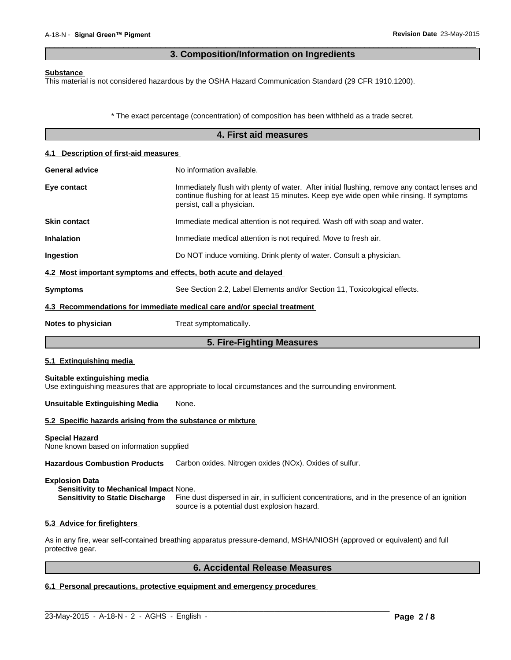# **3. Composition/Information on Ingredients**

 $\overline{\phantom{a}}$  ,  $\overline{\phantom{a}}$  ,  $\overline{\phantom{a}}$  ,  $\overline{\phantom{a}}$  ,  $\overline{\phantom{a}}$  ,  $\overline{\phantom{a}}$  ,  $\overline{\phantom{a}}$  ,  $\overline{\phantom{a}}$  ,  $\overline{\phantom{a}}$  ,  $\overline{\phantom{a}}$  ,  $\overline{\phantom{a}}$  ,  $\overline{\phantom{a}}$  ,  $\overline{\phantom{a}}$  ,  $\overline{\phantom{a}}$  ,  $\overline{\phantom{a}}$  ,  $\overline{\phantom{a}}$ 

#### **Substance**

This material is not considered hazardous by the OSHA Hazard Communication Standard (29 CFR 1910.1200).

\* The exact percentage (concentration) of composition has been withheld as a trade secret.

|                                                                   | 4. First aid measures                                                                                                                                                                                                   |  |  |  |
|-------------------------------------------------------------------|-------------------------------------------------------------------------------------------------------------------------------------------------------------------------------------------------------------------------|--|--|--|
| 4.1 Description of first-aid measures                             |                                                                                                                                                                                                                         |  |  |  |
| <b>General advice</b>                                             | No information available.                                                                                                                                                                                               |  |  |  |
| Eye contact                                                       | Immediately flush with plenty of water. After initial flushing, remove any contact lenses and<br>continue flushing for at least 15 minutes. Keep eye wide open while rinsing. If symptoms<br>persist, call a physician. |  |  |  |
| <b>Skin contact</b>                                               | Immediate medical attention is not required. Wash off with soap and water.                                                                                                                                              |  |  |  |
| <b>Inhalation</b>                                                 | Immediate medical attention is not required. Move to fresh air.                                                                                                                                                         |  |  |  |
| Ingestion                                                         | Do NOT induce vomiting. Drink plenty of water. Consult a physician.                                                                                                                                                     |  |  |  |
| 4.2 Most important symptoms and effects, both acute and delayed   |                                                                                                                                                                                                                         |  |  |  |
| <b>Symptoms</b>                                                   | See Section 2.2, Label Elements and/or Section 11, Toxicological effects.                                                                                                                                               |  |  |  |
|                                                                   | 4.3 Recommendations for immediate medical care and/or special treatment                                                                                                                                                 |  |  |  |
| Notes to physician                                                | Treat symptomatically.                                                                                                                                                                                                  |  |  |  |
|                                                                   | 5. Fire-Fighting Measures                                                                                                                                                                                               |  |  |  |
| 5.1 Extinguishing media                                           |                                                                                                                                                                                                                         |  |  |  |
| Suitable extinguishing media                                      | Use extinguishing measures that are appropriate to local circumstances and the surrounding environment.                                                                                                                 |  |  |  |
| <b>Unsuitable Extinguishing Media</b>                             | None.                                                                                                                                                                                                                   |  |  |  |
| 5.2 Specific hazards arising from the substance or mixture        |                                                                                                                                                                                                                         |  |  |  |
| <b>Special Hazard</b><br>None known based on information supplied |                                                                                                                                                                                                                         |  |  |  |
| <b>Hazardous Combustion Products</b>                              | Carbon oxides. Nitrogen oxides (NOx). Oxides of sulfur.                                                                                                                                                                 |  |  |  |
|                                                                   |                                                                                                                                                                                                                         |  |  |  |

#### **Explosion Data**

**Sensitivity to Mechanical Impact** None. **Sensitivity to Static Discharge** Fine dust dispersed in air, in sufficient concentrations, and in the presence of an ignition source is a potential dust explosion hazard.

#### **5.3 Advice for firefighters**

As in any fire, wear self-contained breathing apparatus pressure-demand, MSHA/NIOSH (approved or equivalent) and full protective gear.

 $\_$  ,  $\_$  ,  $\_$  ,  $\_$  ,  $\_$  ,  $\_$  ,  $\_$  ,  $\_$  ,  $\_$  ,  $\_$  ,  $\_$  ,  $\_$  ,  $\_$  ,  $\_$  ,  $\_$  ,  $\_$  ,  $\_$  ,  $\_$  ,  $\_$  ,  $\_$  ,  $\_$  ,  $\_$  ,  $\_$  ,  $\_$  ,  $\_$  ,  $\_$  ,  $\_$  ,  $\_$  ,  $\_$  ,  $\_$  ,  $\_$  ,  $\_$  ,  $\_$  ,  $\_$  ,  $\_$  ,  $\_$  ,  $\_$  ,

# **6. Accidental Release Measures**

# **6.1 Personal precautions, protective equipment and emergency procedures**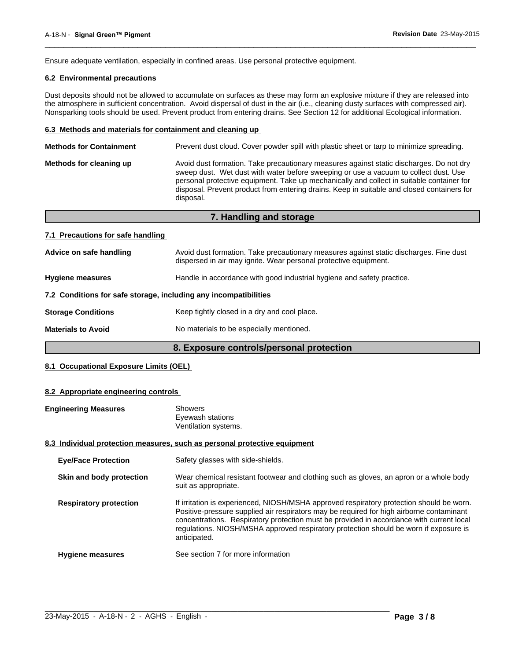Ensure adequate ventilation, especially in confined areas. Use personal protective equipment.

# **6.2 Environmental precautions**

Dust deposits should not be allowed to accumulate on surfaces as these may form an explosive mixture if they are released into the atmosphere in sufficient concentration. Avoid dispersal of dust in the air (i.e., cleaning dusty surfaces with compressed air). Nonsparking tools should be used. Prevent product from entering drains. See Section 12 for additional Ecological information.

 $\overline{\phantom{a}}$  ,  $\overline{\phantom{a}}$  ,  $\overline{\phantom{a}}$  ,  $\overline{\phantom{a}}$  ,  $\overline{\phantom{a}}$  ,  $\overline{\phantom{a}}$  ,  $\overline{\phantom{a}}$  ,  $\overline{\phantom{a}}$  ,  $\overline{\phantom{a}}$  ,  $\overline{\phantom{a}}$  ,  $\overline{\phantom{a}}$  ,  $\overline{\phantom{a}}$  ,  $\overline{\phantom{a}}$  ,  $\overline{\phantom{a}}$  ,  $\overline{\phantom{a}}$  ,  $\overline{\phantom{a}}$ 

#### **6.3 Methods and materials for containment and cleaning up**

| Prevent dust cloud. Cover powder spill with plastic sheet or tarp to minimize spreading.<br><b>Methods for Containment</b> |                                                                                                                                                                                                                                                                                                                                                                                         |  |
|----------------------------------------------------------------------------------------------------------------------------|-----------------------------------------------------------------------------------------------------------------------------------------------------------------------------------------------------------------------------------------------------------------------------------------------------------------------------------------------------------------------------------------|--|
| Methods for cleaning up                                                                                                    | Avoid dust formation. Take precautionary measures against static discharges. Do not dry<br>sweep dust. Wet dust with water before sweeping or use a vacuum to collect dust. Use<br>personal protective equipment. Take up mechanically and collect in suitable container for<br>disposal. Prevent product from entering drains. Keep in suitable and closed containers for<br>disposal. |  |
|                                                                                                                            |                                                                                                                                                                                                                                                                                                                                                                                         |  |

|                                                                  | 7. Handling and storage                                                                                                                                    |
|------------------------------------------------------------------|------------------------------------------------------------------------------------------------------------------------------------------------------------|
| 7.1 Precautions for safe handling                                |                                                                                                                                                            |
| Advice on safe handling                                          | Avoid dust formation. Take precautionary measures against static discharges. Fine dust<br>dispersed in air may ignite. Wear personal protective equipment. |
| <b>Hygiene measures</b>                                          | Handle in accordance with good industrial hygiene and safety practice.                                                                                     |
| 7.2 Conditions for safe storage, including any incompatibilities |                                                                                                                                                            |
| <b>Storage Conditions</b>                                        | Keep tightly closed in a dry and cool place.                                                                                                               |
| <b>Materials to Avoid</b>                                        | No materials to be especially mentioned.                                                                                                                   |

# **8. Exposure controls/personal protection**

# **8.1 Occupational Exposure Limits (OEL)**

#### **8.2 Appropriate engineering controls**

| <b>Engineering Measures</b>   | <b>Showers</b><br>Eyewash stations<br>Ventilation systems.                                                                                                                                                                                                                                                                                                                                |
|-------------------------------|-------------------------------------------------------------------------------------------------------------------------------------------------------------------------------------------------------------------------------------------------------------------------------------------------------------------------------------------------------------------------------------------|
|                               | 8.3 Individual protection measures, such as personal protective equipment                                                                                                                                                                                                                                                                                                                 |
| <b>Eye/Face Protection</b>    | Safety glasses with side-shields.                                                                                                                                                                                                                                                                                                                                                         |
| Skin and body protection      | Wear chemical resistant footwear and clothing such as gloves, an apron or a whole body<br>suit as appropriate.                                                                                                                                                                                                                                                                            |
| <b>Respiratory protection</b> | If irritation is experienced, NIOSH/MSHA approved respiratory protection should be worn.<br>Positive-pressure supplied air respirators may be required for high airborne contaminant<br>concentrations. Respiratory protection must be provided in accordance with current local<br>regulations. NIOSH/MSHA approved respiratory protection should be worn if exposure is<br>anticipated. |
| <b>Hygiene measures</b>       | See section 7 for more information                                                                                                                                                                                                                                                                                                                                                        |

 $\_$  ,  $\_$  ,  $\_$  ,  $\_$  ,  $\_$  ,  $\_$  ,  $\_$  ,  $\_$  ,  $\_$  ,  $\_$  ,  $\_$  ,  $\_$  ,  $\_$  ,  $\_$  ,  $\_$  ,  $\_$  ,  $\_$  ,  $\_$  ,  $\_$  ,  $\_$  ,  $\_$  ,  $\_$  ,  $\_$  ,  $\_$  ,  $\_$  ,  $\_$  ,  $\_$  ,  $\_$  ,  $\_$  ,  $\_$  ,  $\_$  ,  $\_$  ,  $\_$  ,  $\_$  ,  $\_$  ,  $\_$  ,  $\_$  ,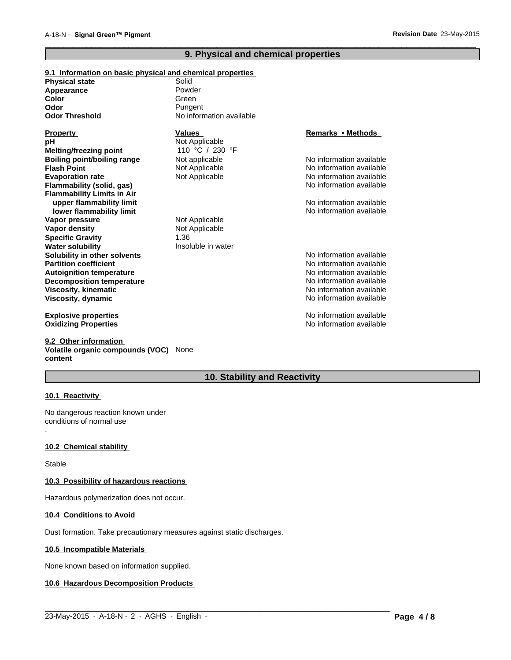# **9. Physical and chemical properties**

 $\overline{\phantom{a}}$  ,  $\overline{\phantom{a}}$  ,  $\overline{\phantom{a}}$  ,  $\overline{\phantom{a}}$  ,  $\overline{\phantom{a}}$  ,  $\overline{\phantom{a}}$  ,  $\overline{\phantom{a}}$  ,  $\overline{\phantom{a}}$  ,  $\overline{\phantom{a}}$  ,  $\overline{\phantom{a}}$  ,  $\overline{\phantom{a}}$  ,  $\overline{\phantom{a}}$  ,  $\overline{\phantom{a}}$  ,  $\overline{\phantom{a}}$  ,  $\overline{\phantom{a}}$  ,  $\overline{\phantom{a}}$ 

#### **9.1 Information on basic physical and chemical properties Physical state Odor Threshold** No information available **Viscosity, kinematic Flash Point** No information available Not Applicable **Viscosity, dynamic Color** No information available No information available Green **Explosive properties Evaporation rate** Not Applicable No information available **Oxidizing Properties No information available No information available** No information available **Flammability (solid, gas) Appearance** No information available **Flammability Limits in Air Property Values upper flammability limit**  $\blacksquare$  No information available **Remarks•Methods lower flammability limit**  $\blacksquare$  No information available **Odor Vapor pressure** Not Applicable **pH** Not Applicable **Pungent Vapor density** Not Applicable **Specific Gravity** 1.36 Powder **Melting/freezing point Water solubility Insoluble in water** 110 °C / 230 °F **Solubility in other solvents** Noinformation available Noinformation available in the solution of the solution of the solution available in the solution of the solution of the solution of the solution of the solution of th **Partition coefficient** No information available **Boiling point/boiling range** Not applicable **Autoignition temperature**  $\qquad \qquad \qquad \qquad \qquad \qquad \text{No information available}$ **Decomposition temperature** No information available No information available

**9.2 Other information Volatile organic compounds (VOC)** None **content**

# **10. Stability and Reactivity**

 $\_$  ,  $\_$  ,  $\_$  ,  $\_$  ,  $\_$  ,  $\_$  ,  $\_$  ,  $\_$  ,  $\_$  ,  $\_$  ,  $\_$  ,  $\_$  ,  $\_$  ,  $\_$  ,  $\_$  ,  $\_$  ,  $\_$  ,  $\_$  ,  $\_$  ,  $\_$  ,  $\_$  ,  $\_$  ,  $\_$  ,  $\_$  ,  $\_$  ,  $\_$  ,  $\_$  ,  $\_$  ,  $\_$  ,  $\_$  ,  $\_$  ,  $\_$  ,  $\_$  ,  $\_$  ,  $\_$  ,  $\_$  ,  $\_$  ,

#### **10.1 Reactivity**

.

No dangerous reaction known under conditions of normal use

#### **10.2 Chemical stability**

Stable

#### **10.3 Possibility of hazardous reactions**

Hazardous polymerization does not occur.

#### **10.4 Conditions to Avoid**

Dust formation. Take precautionary measures against static discharges.

#### **10.5 Incompatible Materials**

None known based on information supplied.

#### **10.6 Hazardous Decomposition Products**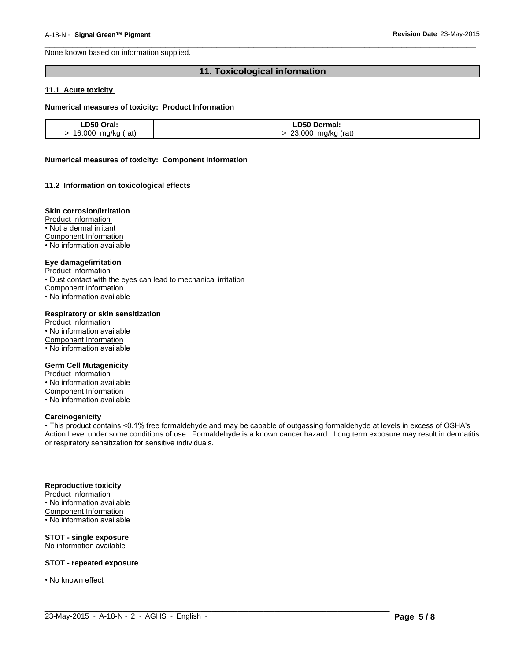None known based on information supplied.

# **11. Toxicological information**

 $\overline{\phantom{a}}$  ,  $\overline{\phantom{a}}$  ,  $\overline{\phantom{a}}$  ,  $\overline{\phantom{a}}$  ,  $\overline{\phantom{a}}$  ,  $\overline{\phantom{a}}$  ,  $\overline{\phantom{a}}$  ,  $\overline{\phantom{a}}$  ,  $\overline{\phantom{a}}$  ,  $\overline{\phantom{a}}$  ,  $\overline{\phantom{a}}$  ,  $\overline{\phantom{a}}$  ,  $\overline{\phantom{a}}$  ,  $\overline{\phantom{a}}$  ,  $\overline{\phantom{a}}$  ,  $\overline{\phantom{a}}$ 

#### **11.1 Acute toxicity**

#### **Numerical measures of toxicity: Product Information**

| LD50 Oral:         | LD50 Dermal:          |
|--------------------|-----------------------|
| 16,000 mg/kg (rat) | 23,000<br>mg/kg (rat) |

#### **Numerical measures of toxicity: Component Information**

#### **11.2 Information on toxicological effects**

#### **Skin corrosion/irritation**

Product Information

• Not a dermal irritant

Component Information

• No information available

#### **Eye damage/irritation**

Product Information

• Dust contact with the eyes can lead to mechanical irritation

Component Information

• No information available

#### **Respiratory or skin sensitization**

Product Information • No information available Component Information • No information available

#### **Germ Cell Mutagenicity**

Product Information • No information available Component Information • No information available

#### **Carcinogenicity**

• This product contains <0.1% free formaldehyde and may be capable of outgassing formaldehyde at levels in excess of OSHA's Action Level under some conditions of use. Formaldehyde is a known cancer hazard. Long term exposure may result in dermatitis or respiratory sensitization for sensitive individuals.

 $\_$  ,  $\_$  ,  $\_$  ,  $\_$  ,  $\_$  ,  $\_$  ,  $\_$  ,  $\_$  ,  $\_$  ,  $\_$  ,  $\_$  ,  $\_$  ,  $\_$  ,  $\_$  ,  $\_$  ,  $\_$  ,  $\_$  ,  $\_$  ,  $\_$  ,  $\_$  ,  $\_$  ,  $\_$  ,  $\_$  ,  $\_$  ,  $\_$  ,  $\_$  ,  $\_$  ,  $\_$  ,  $\_$  ,  $\_$  ,  $\_$  ,  $\_$  ,  $\_$  ,  $\_$  ,  $\_$  ,  $\_$  ,  $\_$  ,

#### **Reproductive toxicity**

Product Information • No information available Component Information • No information available

#### **STOT - single exposure** No information available

**STOT - repeated exposure**

• No known effect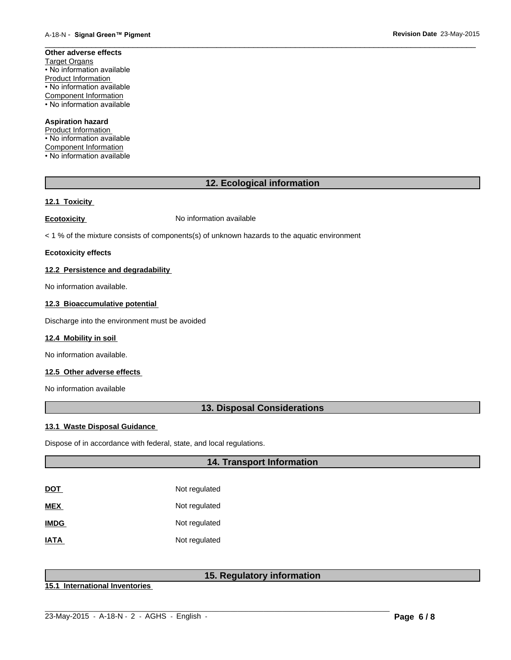#### **Other adverse effects** Target Organs • No information available Product Information • No information available Component Information • No information available

# **Aspiration hazard**

Product Information • No information available Component Information • No information available

# **12. Ecological information**

 $\overline{\phantom{a}}$  ,  $\overline{\phantom{a}}$  ,  $\overline{\phantom{a}}$  ,  $\overline{\phantom{a}}$  ,  $\overline{\phantom{a}}$  ,  $\overline{\phantom{a}}$  ,  $\overline{\phantom{a}}$  ,  $\overline{\phantom{a}}$  ,  $\overline{\phantom{a}}$  ,  $\overline{\phantom{a}}$  ,  $\overline{\phantom{a}}$  ,  $\overline{\phantom{a}}$  ,  $\overline{\phantom{a}}$  ,  $\overline{\phantom{a}}$  ,  $\overline{\phantom{a}}$  ,  $\overline{\phantom{a}}$ 

# **12.1 Toxicity**

**Ecotoxicity No information available** 

< 1 % of the mixture consists of components(s) of unknown hazards to the aquatic environment

#### **Ecotoxicity effects**

### **12.2 Persistence and degradability**

No information available.

# **12.3 Bioaccumulative potential**

Discharge into the environment must be avoided

#### **12.4 Mobility in soil**

No information available.

### **12.5 Other adverse effects**

No information available

# **13. Disposal Considerations**

#### **13.1 Waste Disposal Guidance**

Dispose of in accordance with federal, state, and local regulations.

# **14. Transport Information**

| DOT         | Not regulated |
|-------------|---------------|
| MEX         | Not regulated |
| <b>IMDG</b> | Not regulated |
| IATA        | Not regulated |

# **15. Regulatory information**

 $\_$  ,  $\_$  ,  $\_$  ,  $\_$  ,  $\_$  ,  $\_$  ,  $\_$  ,  $\_$  ,  $\_$  ,  $\_$  ,  $\_$  ,  $\_$  ,  $\_$  ,  $\_$  ,  $\_$  ,  $\_$  ,  $\_$  ,  $\_$  ,  $\_$  ,  $\_$  ,  $\_$  ,  $\_$  ,  $\_$  ,  $\_$  ,  $\_$  ,  $\_$  ,  $\_$  ,  $\_$  ,  $\_$  ,  $\_$  ,  $\_$  ,  $\_$  ,  $\_$  ,  $\_$  ,  $\_$  ,  $\_$  ,  $\_$  ,

**15.1 International Inventories**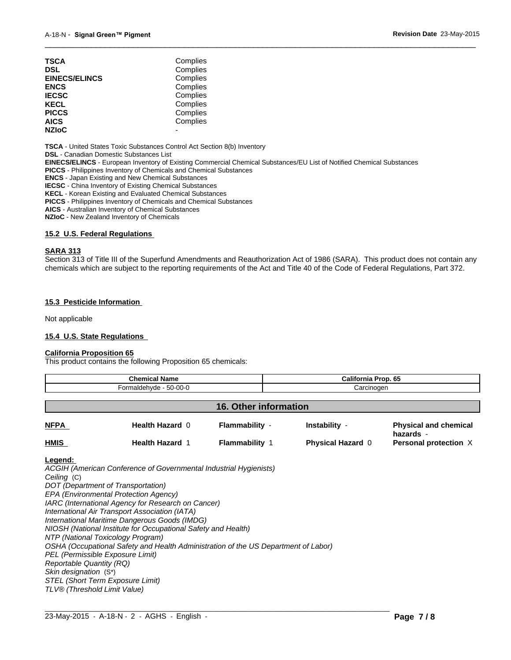| TSCA                 | Complies |  |
|----------------------|----------|--|
| DSL                  | Complies |  |
| <b>EINECS/ELINCS</b> | Complies |  |
| ENCS                 | Complies |  |
| <b>IECSC</b>         | Complies |  |
| KECL                 | Complies |  |
| PICCS                | Complies |  |
| AICS                 | Complies |  |
| <b>NZIoC</b>         |          |  |
|                      |          |  |

**TSCA** - United States Toxic Substances Control Act Section 8(b) Inventory

**DSL** - Canadian Domestic Substances List

**EINECS/ELINCS** - European Inventory of Existing Commercial Chemical Substances/EU List of Notified Chemical Substances

**PICCS** - Philippines Inventory of Chemicals and Chemical Substances

**ENCS** - Japan Existing and New Chemical Substances

**IECSC** - China Inventory of Existing Chemical Substances

**KECL** - Korean Existing and Evaluated Chemical Substances

**PICCS** - Philippines Inventory of Chemicals and Chemical Substances

**AICS** - Australian Inventory of Chemical Substances

**NZIoC** - New Zealand Inventory of Chemicals

#### **15.2 U.S. Federal Regulations**

#### **SARA 313**

Section 313 of Title III of the Superfund Amendments and Reauthorization Act of 1986 (SARA). This product does not contain any chemicals which are subject to the reporting requirements of the Act and Title 40 of the Code of Federal Regulations, Part 372.

 $\overline{\phantom{a}}$  ,  $\overline{\phantom{a}}$  ,  $\overline{\phantom{a}}$  ,  $\overline{\phantom{a}}$  ,  $\overline{\phantom{a}}$  ,  $\overline{\phantom{a}}$  ,  $\overline{\phantom{a}}$  ,  $\overline{\phantom{a}}$  ,  $\overline{\phantom{a}}$  ,  $\overline{\phantom{a}}$  ,  $\overline{\phantom{a}}$  ,  $\overline{\phantom{a}}$  ,  $\overline{\phantom{a}}$  ,  $\overline{\phantom{a}}$  ,  $\overline{\phantom{a}}$  ,  $\overline{\phantom{a}}$ 

#### **15.3 Pesticide Information**

Not applicable

#### **15.4 U.S. State Regulations**

#### **California Proposition 65**

This product contains the following Proposition 65 chemicals:

| <b>Chemical Name</b> |                        |                              | California Prop. 65      |                                           |
|----------------------|------------------------|------------------------------|--------------------------|-------------------------------------------|
|                      | Formaldehyde - 50-00-0 | Carcinogen                   |                          |                                           |
|                      |                        | <b>16. Other information</b> |                          |                                           |
| <b>NFPA</b>          | Health Hazard 0        | Flammability -               | Instability -            | <b>Physical and chemical</b><br>hazards - |
| <b>HMIS</b>          | <b>Health Hazard 1</b> | <b>Flammability 1</b>        | <b>Physical Hazard 0</b> | Personal protection X                     |

#### **Legend:**

*ACGIH (American Conference of Governmental Industrial Hygienists) Ceiling* (C) *DOT (Department of Transportation) EPA (Environmental Protection Agency) IARC (International Agency for Research on Cancer) International Air Transport Association (IATA) International Maritime Dangerous Goods (IMDG) NIOSH (National Institute for Occupational Safety and Health) NTP (National Toxicology Program) OSHA (Occupational Safety and Health Administration of the US Department of Labor) PEL (Permissible Exposure Limit) Reportable Quantity (RQ) Skin designation* (S\*) *STEL (Short Term Exposure Limit) TLV® (Threshold Limit Value)*